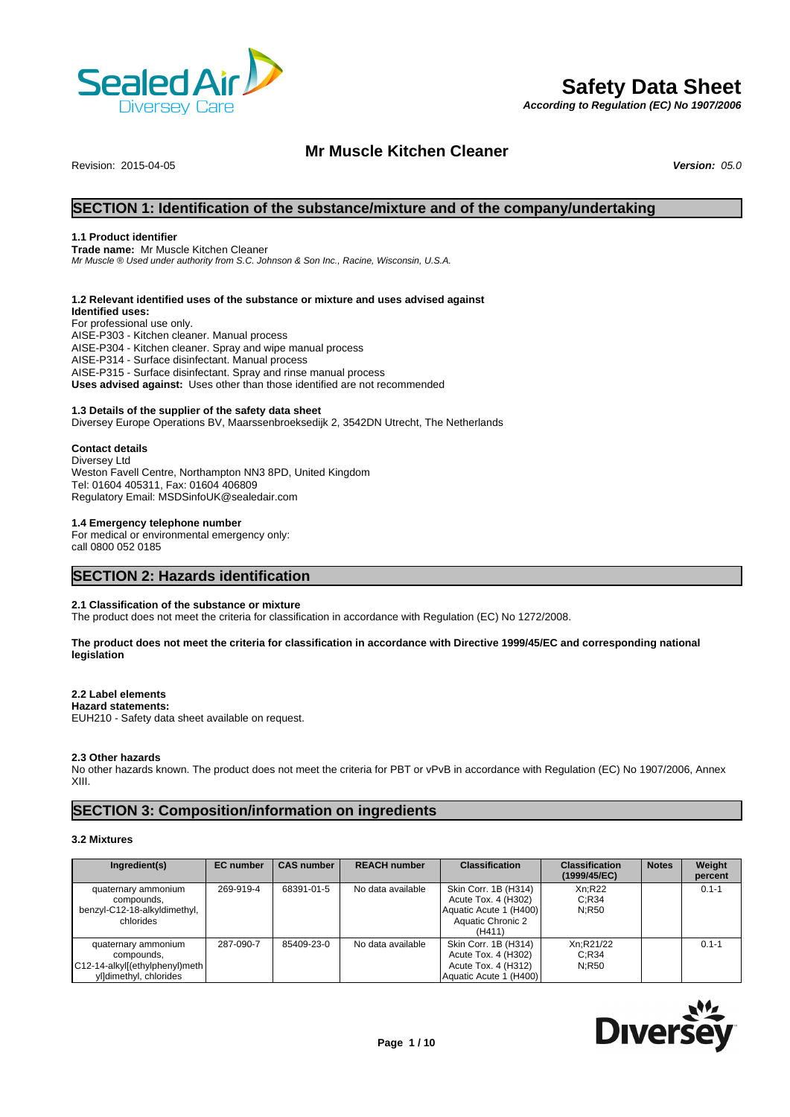

# **Safety Data Sheet**

*According to Regulation (EC) No 1907/2006*

# **Mr Muscle Kitchen Cleaner**

Revision: 2015-04-05 *Version: 05.0*

# **SECTION 1: Identification of the substance/mixture and of the company/undertaking**

### **1.1 Product identifier**

**Trade name:** Mr Muscle Kitchen Cleaner *Mr Muscle ® Used under authority from S.C. Johnson & Son Inc., Racine, Wisconsin, U.S.A.*

### **1.2 Relevant identified uses of the substance or mixture and uses advised against**

**Identified uses:** For professional use only. AISE-P303 - Kitchen cleaner. Manual process AISE-P304 - Kitchen cleaner. Spray and wipe manual process AISE-P314 - Surface disinfectant. Manual process AISE-P315 - Surface disinfectant. Spray and rinse manual process **Uses advised against:** Uses other than those identified are not recommended

### **1.3 Details of the supplier of the safety data sheet**

Diversey Europe Operations BV, Maarssenbroeksedijk 2, 3542DN Utrecht, The Netherlands

### **Contact details**

Diversey Ltd Weston Favell Centre, Northampton NN3 8PD, United Kingdom Tel: 01604 405311, Fax: 01604 406809 Regulatory Email: MSDSinfoUK@sealedair.com

### **1.4 Emergency telephone number**

For medical or environmental emergency only: call 0800 052 0185

# **SECTION 2: Hazards identification**

### **2.1 Classification of the substance or mixture**

The product does not meet the criteria for classification in accordance with Regulation (EC) No 1272/2008.

### **The product does not meet the criteria for classification in accordance with Directive 1999/45/EC and corresponding national legislation**

### **2.2 Label elements**

### **Hazard statements:**

EUH210 - Safety data sheet available on request.

### **2.3 Other hazards**

No other hazards known. The product does not meet the criteria for PBT or vPvB in accordance with Regulation (EC) No 1907/2006, Annex XIII.

# **SECTION 3: Composition/information on ingredients**

# **3.2 Mixtures**

| Ingredient(s)                                                                                 | <b>EC</b> number | <b>CAS number</b> | <b>REACH number</b> | <b>Classification</b>                                                                                | <b>Classification</b><br>(1999/45/EC) | <b>Notes</b> | Weight<br>percent |
|-----------------------------------------------------------------------------------------------|------------------|-------------------|---------------------|------------------------------------------------------------------------------------------------------|---------------------------------------|--------------|-------------------|
| quaternary ammonium<br>compounds,<br>benzyl-C12-18-alkyldimethyl,<br>chlorides                | 269-919-4        | 68391-01-5        | No data available   | Skin Corr. 1B (H314)<br>Acute Tox. 4 (H302)<br>Aquatic Acute 1 (H400)<br>Aquatic Chronic 2<br>(H411) | Xn:R22<br>C:R34<br>N:R50              |              | $0.1 - 1$         |
| quaternary ammonium<br>compounds.<br>C12-14-alkyl[(ethylphenyl)meth<br>yl]dimethyl, chlorides | 287-090-7        | 85409-23-0        | No data available   | Skin Corr. 1B (H314)<br>Acute Tox. 4 (H302)<br>Acute Tox. 4 (H312)<br>Aquatic Acute 1 (H400)         | Xn:R21/22<br>C:R34<br>N:R50           |              | $0.1 - 1$         |

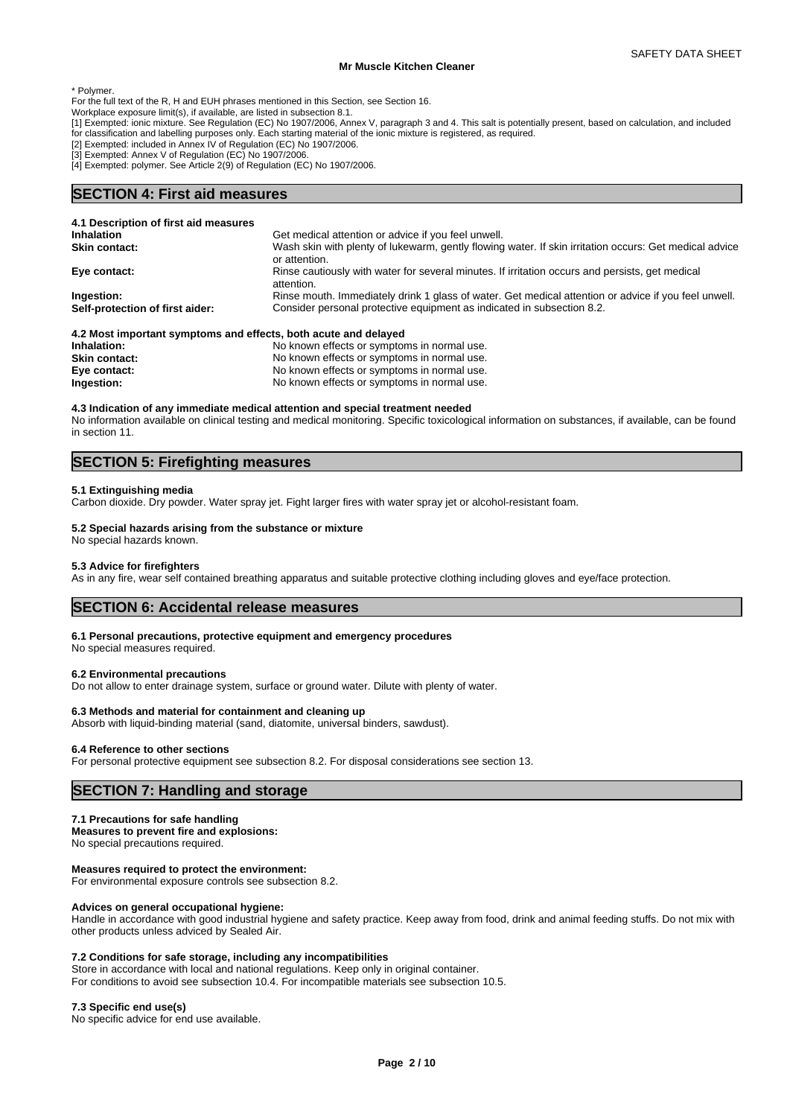\* Polymer.

For the full text of the R, H and EUH phrases mentioned in this Section, see Section 16.

Workplace exposure limit(s), if available, are listed in subsection 8.1.

[1] Exempted: ionic mixture. See Regulation (EC) No 1907/2006, Annex V, paragraph 3 and 4. This salt is potentially present, based on calculation, and included for classification and labelling purposes only. Each starting material of the ionic mixture is registered, as required.

[2] Exempted: included in Annex IV of Regulation (EC) No 1907/2006.

[3] Exempted: Annex V of Regulation (EC) No 1907/2006.

[4] Exempted: polymer. See Article 2(9) of Regulation (EC) No 1907/2006.

# **SECTION 4: First aid measures**

| 4.1 Description of first aid measures                           |                                                                                                                         |
|-----------------------------------------------------------------|-------------------------------------------------------------------------------------------------------------------------|
| <b>Inhalation</b>                                               | Get medical attention or advice if you feel unwell.                                                                     |
| <b>Skin contact:</b>                                            | Wash skin with plenty of lukewarm, gently flowing water. If skin irritation occurs: Get medical advice<br>or attention. |
| Eye contact:                                                    | Rinse cautiously with water for several minutes. If irritation occurs and persists, get medical<br>attention.           |
| Ingestion:                                                      | Rinse mouth. Immediately drink 1 glass of water. Get medical attention or advice if you feel unwell.                    |
| Self-protection of first aider:                                 | Consider personal protective equipment as indicated in subsection 8.2.                                                  |
| 4.2 Most important symptoms and effects, both acute and delayed |                                                                                                                         |
| lahalatian :                                                    | No known offects or symptoms in normal use                                                                              |

| Inhalation:          | No known effects or symptoms in normal use. |
|----------------------|---------------------------------------------|
| <b>Skin contact:</b> | No known effects or symptoms in normal use. |
| Eye contact:         | No known effects or symptoms in normal use. |
| Ingestion:           | No known effects or symptoms in normal use. |

### **4.3 Indication of any immediate medical attention and special treatment needed**

No information available on clinical testing and medical monitoring. Specific toxicological information on substances, if available, can be found in section 11.

# **SECTION 5: Firefighting measures**

### **5.1 Extinguishing media**

Carbon dioxide. Dry powder. Water spray jet. Fight larger fires with water spray jet or alcohol-resistant foam.

### **5.2 Special hazards arising from the substance or mixture**

No special hazards known.

### **5.3 Advice for firefighters**

As in any fire, wear self contained breathing apparatus and suitable protective clothing including gloves and eye/face protection.

# **SECTION 6: Accidental release measures**

### **6.1 Personal precautions, protective equipment and emergency procedures**

No special measures required.

### **6.2 Environmental precautions**

Do not allow to enter drainage system, surface or ground water. Dilute with plenty of water.

### **6.3 Methods and material for containment and cleaning up**

Absorb with liquid-binding material (sand, diatomite, universal binders, sawdust).

### **6.4 Reference to other sections**

For personal protective equipment see subsection 8.2. For disposal considerations see section 13.

# **SECTION 7: Handling and storage**

### **7.1 Precautions for safe handling**

**Measures to prevent fire and explosions:** No special precautions required.

### **Measures required to protect the environment:**

For environmental exposure controls see subsection 8.2.

### **Advices on general occupational hygiene:**

Handle in accordance with good industrial hygiene and safety practice. Keep away from food, drink and animal feeding stuffs. Do not mix with other products unless adviced by Sealed Air.

### **7.2 Conditions for safe storage, including any incompatibilities**

Store in accordance with local and national regulations. Keep only in original container.

For conditions to avoid see subsection 10.4. For incompatible materials see subsection 10.5.

### **7.3 Specific end use(s)**

No specific advice for end use available.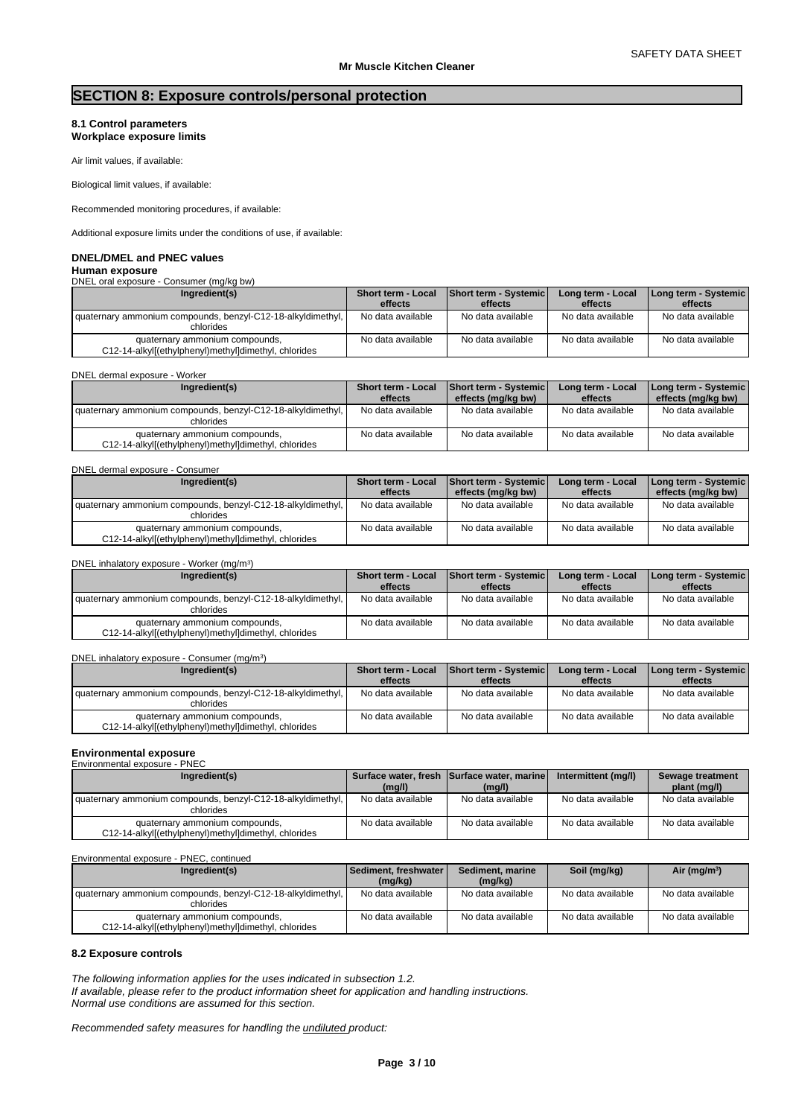# **SECTION 8: Exposure controls/personal protection**

### **8.1 Control parameters Workplace exposure limits**

Air limit values, if available:

Biological limit values, if available:

Recommended monitoring procedures, if available:

Additional exposure limits under the conditions of use, if available:

# **DNEL/DMEL and PNEC values**

### **Human exposure** DNEL oral exposure - Consumer (mg/kg bw)

| Ingredient(s)                                                                          | Short term - Local<br>effects | Short term - Systemic<br>effects | Long term - Local<br>effects | Long term - Systemic<br>effects |
|----------------------------------------------------------------------------------------|-------------------------------|----------------------------------|------------------------------|---------------------------------|
| I quaternary ammonium compounds, benzyl-C12-18-alkyldimethyl, I<br>chlorides           | No data available             | No data available                | No data available            | No data available               |
| quaternary ammonium compounds,<br>C12-14-alkyl[(ethylphenyl)methyl]dimethyl, chlorides | No data available             | No data available                | No data available            | No data available               |

|  | DNEL dermal exposure - Worker |                                                                     |  |
|--|-------------------------------|---------------------------------------------------------------------|--|
|  |                               | $\frac{1}{2}$ and $\frac{1}{2}$ and $\frac{1}{2}$ and $\frac{1}{2}$ |  |

| Ingredient(s)                                                                          | <b>Short term - Local</b> | Short term - Systemic | Long term - Local | [Long term - Systemic] |
|----------------------------------------------------------------------------------------|---------------------------|-----------------------|-------------------|------------------------|
|                                                                                        | effects                   | effects (mg/kg bw)    | effects           | effects (mg/kg bw)     |
| quaternary ammonium compounds, benzyl-C12-18-alkyldimethyl,<br>chlorides               | No data available         | No data available     | No data available | No data available      |
| quaternary ammonium compounds,<br>C12-14-alkyl[(ethylphenyl)methyl]dimethyl, chlorides | No data available         | No data available     | No data available | No data available      |

# DNEL dermal exposure - Consumer

| Ingredient(s)                                                                          | <b>Short term - Local</b> | <b>Short term - Systemic</b> | Long term - Local | Long term - Systemic |
|----------------------------------------------------------------------------------------|---------------------------|------------------------------|-------------------|----------------------|
|                                                                                        | effects                   | effects (mg/kg bw)           | effects           | effects (mg/kg bw)   |
| quaternary ammonium compounds, benzyl-C12-18-alkyldimethyl,<br>chlorides               | No data available         | No data available            | No data available | No data available    |
| quaternary ammonium compounds,<br>C12-14-alkyl[(ethylphenyl)methyl]dimethyl, chlorides | No data available         | No data available            | No data available | No data available    |

# DNEL inhalatory exposure - Worker (mg/m<sup>3</sup>

| Ingredient(s)                                                                          | Short term - Local | <b>Short term - Systemic</b> | Long term - Local | Long term - Systemic |
|----------------------------------------------------------------------------------------|--------------------|------------------------------|-------------------|----------------------|
|                                                                                        | effects            | effects                      | effects           | effects              |
| quaternary ammonium compounds, benzyl-C12-18-alkyldimethyl,<br>chlorides               | No data available  | No data available            | No data available | No data available    |
| quaternary ammonium compounds,<br>C12-14-alkyl[(ethylphenyl)methyl]dimethyl, chlorides | No data available  | No data available            | No data available | No data available    |

#### DNEL inhalatory exposure - Consumer (mg/m<sup>3</sup>) )

| Ingredient(s)                                                                          | Short term - Local<br>effects | Short term - Systemic<br>effects | Long term - Local<br>effects | Long term - Systemic  <br>effects |
|----------------------------------------------------------------------------------------|-------------------------------|----------------------------------|------------------------------|-----------------------------------|
| quaternary ammonium compounds, benzyl-C12-18-alkyldimethyl,<br>chlorides               | No data available             | No data available                | No data available            | No data available                 |
| quaternary ammonium compounds,<br>C12-14-alkyl[(ethylphenyl)methyl]dimethyl, chlorides | No data available             | No data available                | No data available            | No data available                 |

### **Environmental exposure** Environmental exposure - PNEC

| Ingredient(s)                                                                          | (mg/l)            | Surface water, fresh Surface water, marine<br>(mg/l) | Intermittent (mg/l) | Sewage treatment<br>plant (mg/l) |
|----------------------------------------------------------------------------------------|-------------------|------------------------------------------------------|---------------------|----------------------------------|
| I quaternary ammonium compounds, benzyl-C12-18-alkyldimethyl, I<br>chlorides           | No data available | No data available                                    | No data available   | No data available                |
| quaternary ammonium compounds,<br>C12-14-alkyl[(ethylphenyl)methyl]dimethyl, chlorides | No data available | No data available                                    | No data available   | No data available                |

Environmental exposure - PNEC, continued

| Ingredient(s)                                                                          | Sediment. freshwater  <br>(mg/kg) | Sediment, marine<br>(mg/kg) | Soil (mg/kg)      | Air (mg/m <sup>3</sup> ) |
|----------------------------------------------------------------------------------------|-----------------------------------|-----------------------------|-------------------|--------------------------|
| quaternary ammonium compounds, benzyl-C12-18-alkyldimethyl,<br>chlorides               | No data available                 | No data available           | No data available | No data available        |
| quaternary ammonium compounds,<br>C12-14-alkyl[(ethylphenyl)methyl]dimethyl, chlorides | No data available                 | No data available           | No data available | No data available        |

### **8.2 Exposure controls**

*The following information applies for the uses indicated in subsection 1.2.*

*If available, please refer to the product information sheet for application and handling instructions. Normal use conditions are assumed for this section.*

)

*Recommended safety measures for handling the undiluted product:*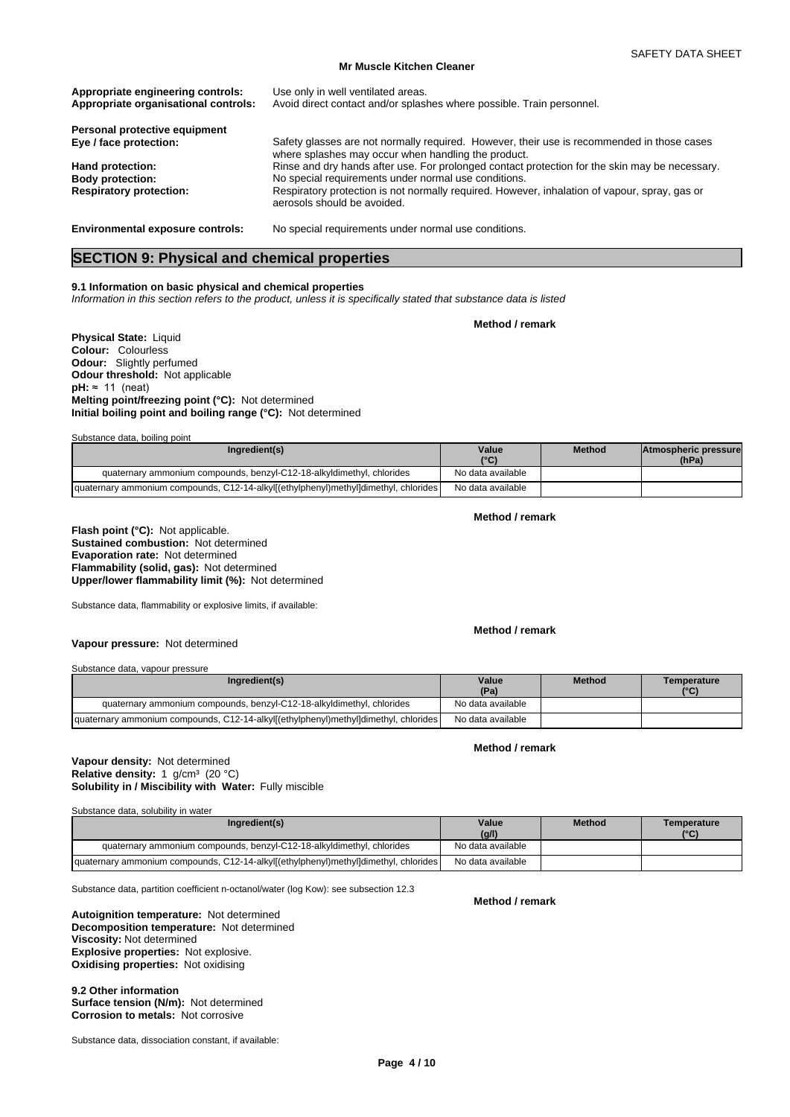| Appropriate engineering controls:<br>Appropriate organisational controls: | Use only in well ventilated areas.<br>Avoid direct contact and/or splashes where possible. Train personnel.                                       |
|---------------------------------------------------------------------------|---------------------------------------------------------------------------------------------------------------------------------------------------|
| Personal protective equipment                                             |                                                                                                                                                   |
| Eye / face protection:                                                    | Safety glasses are not normally required. However, their use is recommended in those cases<br>where splashes may occur when handling the product. |
| Hand protection:                                                          | Rinse and dry hands after use. For prolonged contact protection for the skin may be necessary.                                                    |
| <b>Body protection:</b>                                                   | No special requirements under normal use conditions.                                                                                              |
| <b>Respiratory protection:</b>                                            | Respiratory protection is not normally required. However, inhalation of vapour, spray, gas or<br>aerosols should be avoided.                      |
| <b>Environmental exposure controls:</b>                                   | No special requirements under normal use conditions.                                                                                              |

# **SECTION 9: Physical and chemical properties**

### **9.1 Information on basic physical and chemical properties**

*Information in this section refers to the product, unless it is specifically stated that substance data is listed*

**Method / remark**

**Physical State:** Liquid **Colour:** Colourless **Odour:** Slightly perfumed **Odour threshold:** Not applicable **pH:** ≈ 11 (neat) **Melting point/freezing point (°C):** Not determined **Initial boiling point and boiling range (°C):** Not determined

Substance data, boiling point

| Ingredient(s)                                                                       | Value<br>10 <sup>o</sup> | <b>Method</b> | <b>IAtmospheric pressure</b><br>(hPa) |  |
|-------------------------------------------------------------------------------------|--------------------------|---------------|---------------------------------------|--|
| quaternary ammonium compounds, benzyl-C12-18-alkyldimethyl, chlorides               | No data available        |               |                                       |  |
| quaternary ammonium compounds, C12-14-alkyl[(ethylphenyl)methyl]dimethyl, chlorides | No data available        |               |                                       |  |

### **Method / remark**

**Flash point (°C):** Not applicable. **Sustained combustion:** Not determined **Evaporation rate:** Not determined **Flammability (solid, gas):** Not determined **Upper/lower flammability limit (%):** Not determined

Substance data, flammability or explosive limits, if available:

### **Method / remark**

Substance data, vapour pressure

**Vapour pressure:** Not determined

| Ingredient(s)                                                                       | Value<br>(Pa)     | <b>Method</b> | Temperature<br>(°C) |
|-------------------------------------------------------------------------------------|-------------------|---------------|---------------------|
| quaternary ammonium compounds, benzyl-C12-18-alkyldimethyl, chlorides               | No data available |               |                     |
| quaternary ammonium compounds, C12-14-alkyl[(ethylphenyl)methyl]dimethyl, chlorides | No data available |               |                     |

### **Method / remark**

### **Solubility in / Miscibility with Water:** Fully miscible **Vapour density:** Not determined Relative density: 1 g/cm<sup>3</sup> (20 °C)

Substance data, solubility in water

| Ingredient(s)                                                                       | Value<br>(g/l)    | <b>Method</b> | Temperature<br>(°C) |
|-------------------------------------------------------------------------------------|-------------------|---------------|---------------------|
| quaternary ammonium compounds, benzyl-C12-18-alkyldimethyl, chlorides               | No data available |               |                     |
| quaternary ammonium compounds, C12-14-alkyl[(ethylphenyl)methyl]dimethyl, chlorides | No data available |               |                     |

Substance data, partition coefficient n-octanol/water (log Kow): see subsection 12.3

**Decomposition temperature:** Not determined **Autoignition temperature:** Not determined **Viscosity:** Not determined **Explosive properties:** Not explosive. **Oxidising properties:** Not oxidising

**9.2 Other information Surface tension (N/m):** Not determined **Corrosion to metals:** Not corrosive

Substance data, dissociation constant, if available:

**Method / remark**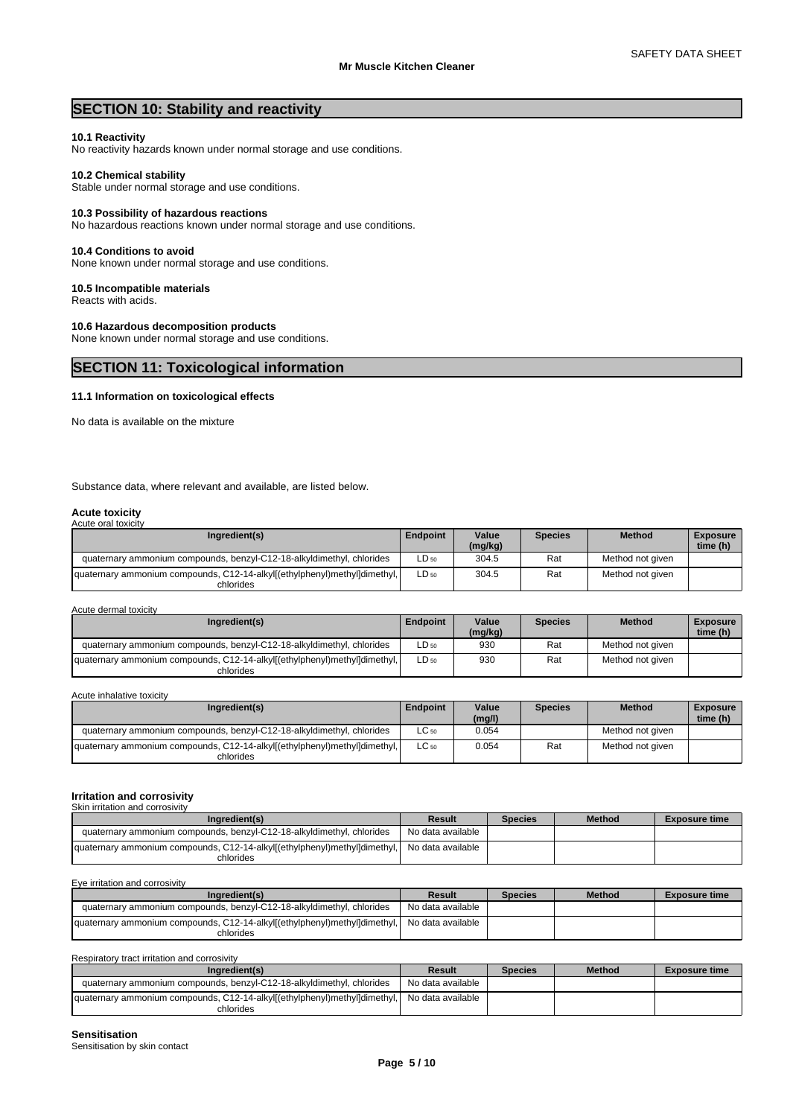# **SECTION 10: Stability and reactivity**

### **10.1 Reactivity**

No reactivity hazards known under normal storage and use conditions.

### **10.2 Chemical stability**

Stable under normal storage and use conditions.

### **10.3 Possibility of hazardous reactions**

No hazardous reactions known under normal storage and use conditions.

### **10.4 Conditions to avoid**

None known under normal storage and use conditions.

### **10.5 Incompatible materials**

Reacts with acids.

# **10.6 Hazardous decomposition products**

None known under normal storage and use conditions.

# **SECTION 11: Toxicological information**

### **11.1 Information on toxicological effects**

No data is available on the mixture

Substance data, where relevant and available, are listed below.

### **Acute toxicity** Acute oral toxicity

| Ingredient(s)                                                                          | <b>Endpoint</b> | Value<br>(mg/kg) | <b>Species</b> | <b>Method</b>    | <b>Exposure</b><br>time (h) |
|----------------------------------------------------------------------------------------|-----------------|------------------|----------------|------------------|-----------------------------|
| quaternary ammonium compounds, benzyl-C12-18-alkyldimethyl, chlorides                  | $LD_{50}$       | 304.5            | Rat            | Method not given |                             |
| quaternary ammonium compounds, C12-14-alkyl[(ethylphenyl)methyl]dimethyl,<br>chlorides | $LD_{50}$       | 304.5            | Rat            | Method not given |                             |

Acute dermal toxicity

| Ingredient(s)                                                                          | <b>Endpoint</b> | Value<br>(mg/kg) | Species | <b>Method</b>    | <b>Exposure</b><br>time (h) |
|----------------------------------------------------------------------------------------|-----------------|------------------|---------|------------------|-----------------------------|
| quaternary ammonium compounds, benzyl-C12-18-alkyldimethyl, chlorides                  | $LD_{50}$       | 930              | Rat     | Method not given |                             |
| quaternary ammonium compounds, C12-14-alkyl[(ethylphenyl)methyl]dimethyl,<br>chlorides | $LD_{50}$       | 930              | Rat     | Method not given |                             |

Acute inhalative toxicity

| Ingredient(s)                                                                          | Endpoint  | Value<br>(mg/l) | <b>Species</b> | <b>Method</b>    | <b>Exposure</b><br>time (h) |
|----------------------------------------------------------------------------------------|-----------|-----------------|----------------|------------------|-----------------------------|
| quaternary ammonium compounds, benzyl-C12-18-alkyldimethyl, chlorides                  | $LC_{50}$ | 0.054           |                | Method not given |                             |
| quaternary ammonium compounds, C12-14-alkyl[(ethylphenyl)methyl]dimethyl,<br>chlorides | $LC_{50}$ | 0.054           | Rat            | Method not given |                             |

### **Irritation and corrosivity**

| Skin irritation and corrosivity                                                        |                   |                |               |                      |
|----------------------------------------------------------------------------------------|-------------------|----------------|---------------|----------------------|
| Ingredient(s)                                                                          | Result            | <b>Species</b> | <b>Method</b> | <b>Exposure time</b> |
| quaternary ammonium compounds, benzyl-C12-18-alkyldimethyl, chlorides                  | No data available |                |               |                      |
| quaternary ammonium compounds, C12-14-alkyl[(ethylphenyl)methyl]dimethyl,<br>chlorides | No data available |                |               |                      |

| Eye irritation and corrosivity                                                         |                   |                |               |                      |
|----------------------------------------------------------------------------------------|-------------------|----------------|---------------|----------------------|
| Ingredient(s)                                                                          | Result            | <b>Species</b> | <b>Method</b> | <b>Exposure time</b> |
| quaternary ammonium compounds, benzyl-C12-18-alkyldimethyl, chlorides                  | No data available |                |               |                      |
| quaternary ammonium compounds, C12-14-alkyl[(ethylphenyl)methyl]dimethyl,<br>chlorides | No data available |                |               |                      |

| Respiratory tract irritation and corrosivity                                           |                   |                |               |                      |
|----------------------------------------------------------------------------------------|-------------------|----------------|---------------|----------------------|
| Ingredient(s)                                                                          | Result            | <b>Species</b> | <b>Method</b> | <b>Exposure time</b> |
| quaternary ammonium compounds, benzyl-C12-18-alkyldimethyl, chlorides                  | No data available |                |               |                      |
| quaternary ammonium compounds, C12-14-alkyl[(ethylphenyl)methyl]dimethyl,<br>chlorides | No data available |                |               |                      |

**Sensitisation**

Sensitisation by skin contact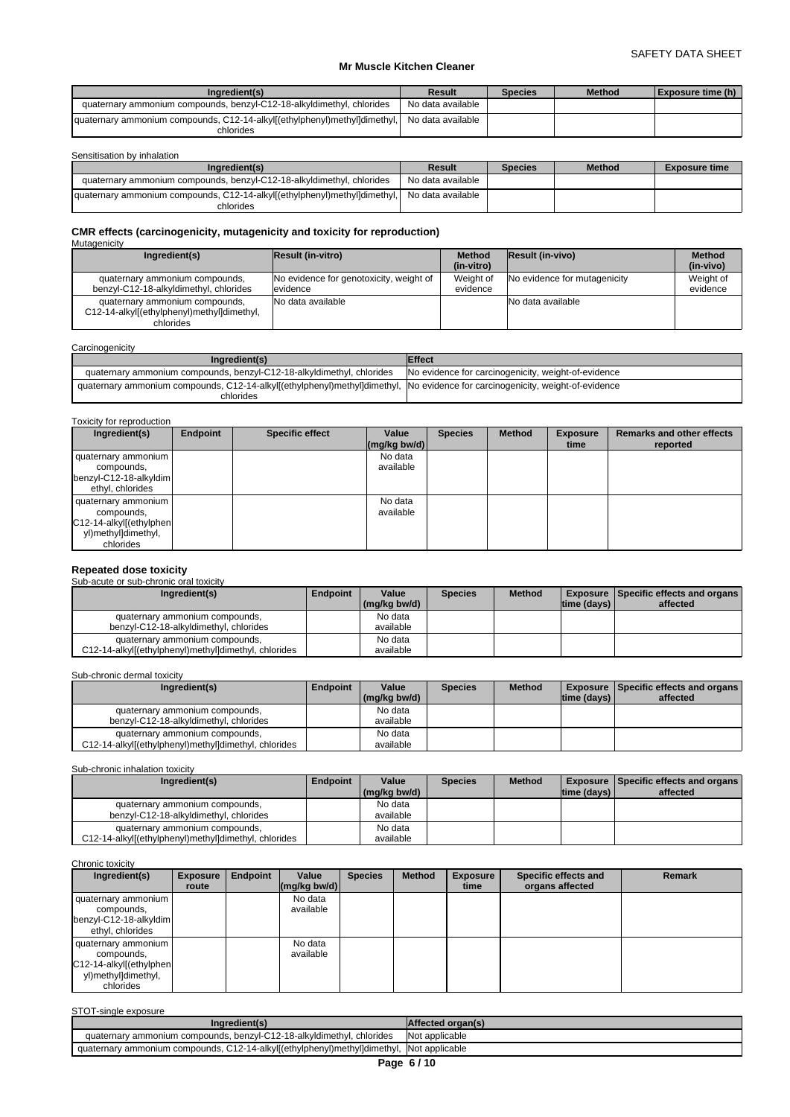| Ingredient(s)                                                             | Result            | <b>Species</b> | <b>Method</b> | Exposure time (h) |
|---------------------------------------------------------------------------|-------------------|----------------|---------------|-------------------|
| quaternary ammonium compounds, benzyl-C12-18-alkyldimethyl. chlorides     | No data available |                |               |                   |
| quaternary ammonium compounds, C12-14-alkyl[(ethylphenyl)methyl]dimethyl, | No data available |                |               |                   |
| chlorides                                                                 |                   |                |               |                   |

Sensitisation by inhalation

| Ingredient(s)                                                                          | Result            | <b>Species</b> | <b>Method</b> | <b>Exposure time</b> |
|----------------------------------------------------------------------------------------|-------------------|----------------|---------------|----------------------|
| quaternary ammonium compounds, benzyl-C12-18-alkyldimethyl, chlorides                  | No data available |                |               |                      |
| quaternary ammonium compounds, C12-14-alkyl[(ethylphenyl)methyl]dimethyl,<br>chlorides | No data available |                |               |                      |

# **CMR effects (carcinogenicity, mutagenicity and toxicity for reproduction)** Mutagenicity

| Ingredient(s)                              | <b>Result (in-vitro)</b>                | <b>Method</b><br>(in-vitro) | <b>Result (in-vivo)</b>      | <b>Method</b><br>(in-vivo) |  |  |  |  |  |  |
|--------------------------------------------|-----------------------------------------|-----------------------------|------------------------------|----------------------------|--|--|--|--|--|--|
|                                            |                                         |                             |                              |                            |  |  |  |  |  |  |
| quaternary ammonium compounds,             | No evidence for genotoxicity, weight of | Weight of                   | No evidence for mutagenicity | Weight of                  |  |  |  |  |  |  |
| benzyl-C12-18-alkyldimethyl, chlorides     | levidence                               | evidence                    |                              | evidence                   |  |  |  |  |  |  |
| quaternary ammonium compounds,             | INo data available                      |                             | No data available            |                            |  |  |  |  |  |  |
| C12-14-alkyl[(ethylphenyl)methyl]dimethyl, |                                         |                             |                              |                            |  |  |  |  |  |  |
| chlorides                                  |                                         |                             |                              |                            |  |  |  |  |  |  |

| Carcinogenicity                                                                                                                            |                                                     |
|--------------------------------------------------------------------------------------------------------------------------------------------|-----------------------------------------------------|
| Ingredient(s)                                                                                                                              | <b>Effect</b>                                       |
| quaternary ammonium compounds, benzyl-C12-18-alkyldimethyl, chlorides                                                                      | No evidence for carcinogenicity, weight-of-evidence |
| quaternary ammonium compounds, C12-14-alkyl[(ethylphenyl)methyl]dimethyl, No evidence for carcinogenicity, weight-of-evidence<br>chlorides |                                                     |

| Ingredient(s)                                                                                    | Endpoint | <b>Specific effect</b> | Value<br>$\left \frac{\text{mg}}{\text{kg}}\frac{\text{bw}}{\text{d}}\right $ | <b>Species</b> | <b>Method</b> | <b>Exposure</b><br>time | <b>Remarks and other effects</b><br>reported |
|--------------------------------------------------------------------------------------------------|----------|------------------------|-------------------------------------------------------------------------------|----------------|---------------|-------------------------|----------------------------------------------|
| quaternary ammonium<br>compounds,<br>benzyl-C12-18-alkyldim<br>ethyl, chlorides                  |          |                        | No data<br>available                                                          |                |               |                         |                                              |
| quaternary ammonium<br>compounds,<br>C12-14-alkyl[(ethylphen<br>yl)methyl]dimethyl,<br>chlorides |          |                        | No data<br>available                                                          |                |               |                         |                                              |

# **Repeated dose toxicity** Sub-acute or sub-chronic oral toxicity

| <u>UUD UUULU ULUUD ULIIULIID ULUL IUAIULIV</u>                                         |                 |                       |                |               |                |                                                             |
|----------------------------------------------------------------------------------------|-----------------|-----------------------|----------------|---------------|----------------|-------------------------------------------------------------|
| Ingredient(s)                                                                          | <b>Endpoint</b> | Value<br>(ma/ka bw/d) | <b>Species</b> | <b>Method</b> | Itime (davs) I | <b>Exposure   Specific effects and organs  </b><br>affected |
| quaternary ammonium compounds,<br>benzyl-C12-18-alkyldimethyl, chlorides               |                 | No data<br>available  |                |               |                |                                                             |
| quaternary ammonium compounds,<br>C12-14-alkyl[(ethylphenyl)methyl]dimethyl, chlorides |                 | No data<br>available  |                |               |                |                                                             |

# Sub-chronic dermal toxicity

| Ingredient(s)                                        | <b>Endpoint</b> | Value                      | <b>Species</b> | <b>Method</b> |                | <b>Exposure   Specific effects and organs  </b> |
|------------------------------------------------------|-----------------|----------------------------|----------------|---------------|----------------|-------------------------------------------------|
|                                                      |                 | $\frac{1}{2}$ (mg/kg bw/d) |                |               | Itime (davs) I | affected                                        |
| quaternary ammonium compounds,                       |                 | No data                    |                |               |                |                                                 |
| benzyl-C12-18-alkyldimethyl, chlorides               |                 | available                  |                |               |                |                                                 |
| quaternary ammonium compounds,                       |                 | No data                    |                |               |                |                                                 |
| C12-14-alkyl[(ethylphenyl)methyl]dimethyl, chlorides |                 | available                  |                |               |                |                                                 |

Sub-chronic inhalation toxicity

| Ingredient(s)                                        | Endpoint | Value          | <b>Species</b> | <b>Method</b> |             | <b>Exposure   Specific effects and organs  </b> |  |
|------------------------------------------------------|----------|----------------|----------------|---------------|-------------|-------------------------------------------------|--|
|                                                      |          | $(mq/kg$ bw/d) |                |               | time (days) | affected                                        |  |
| quaternary ammonium compounds,                       |          | No data        |                |               |             |                                                 |  |
| benzyl-C12-18-alkyldimethyl, chlorides               |          | available      |                |               |             |                                                 |  |
| quaternary ammonium compounds,                       |          | No data        |                |               |             |                                                 |  |
| C12-14-alkyl[(ethylphenyl)methyl]dimethyl, chlorides |          | available      |                |               |             |                                                 |  |

### Chronic toxicity

| Ingredient(s)                                                                                     | <b>Exposure</b> | Endpoint | Value                                            | <b>Species</b> | <b>Method</b> | <b>Exposure</b> | Specific effects and | <b>Remark</b> |
|---------------------------------------------------------------------------------------------------|-----------------|----------|--------------------------------------------------|----------------|---------------|-----------------|----------------------|---------------|
|                                                                                                   | route           |          | $\left \frac{\text{mg}}{\text{kg}}\right $ bw/d) |                |               | time            | organs affected      |               |
| quaternary ammonium<br>compounds,<br>benzyl-C12-18-alkyldim<br>ethyl, chlorides                   |                 |          | No data<br>available                             |                |               |                 |                      |               |
| quaternary ammonium<br>compounds,<br>C12-14-alkyl[(ethylphen]<br>yl)methyl]dimethyl,<br>chlorides |                 |          | No data<br>available                             |                |               |                 |                      |               |

| STOT-single exposure                                                                      |                   |
|-------------------------------------------------------------------------------------------|-------------------|
| Ingredient(s)                                                                             | Affected organ(s) |
| quaternary ammonium compounds, benzyl-C12-18-alkyldimethyl, chlorides                     | Not applicable    |
| quaternary ammonium compounds, C12-14-alkyl[(ethylphenyl)methyl]dimethyl,  Not applicable |                   |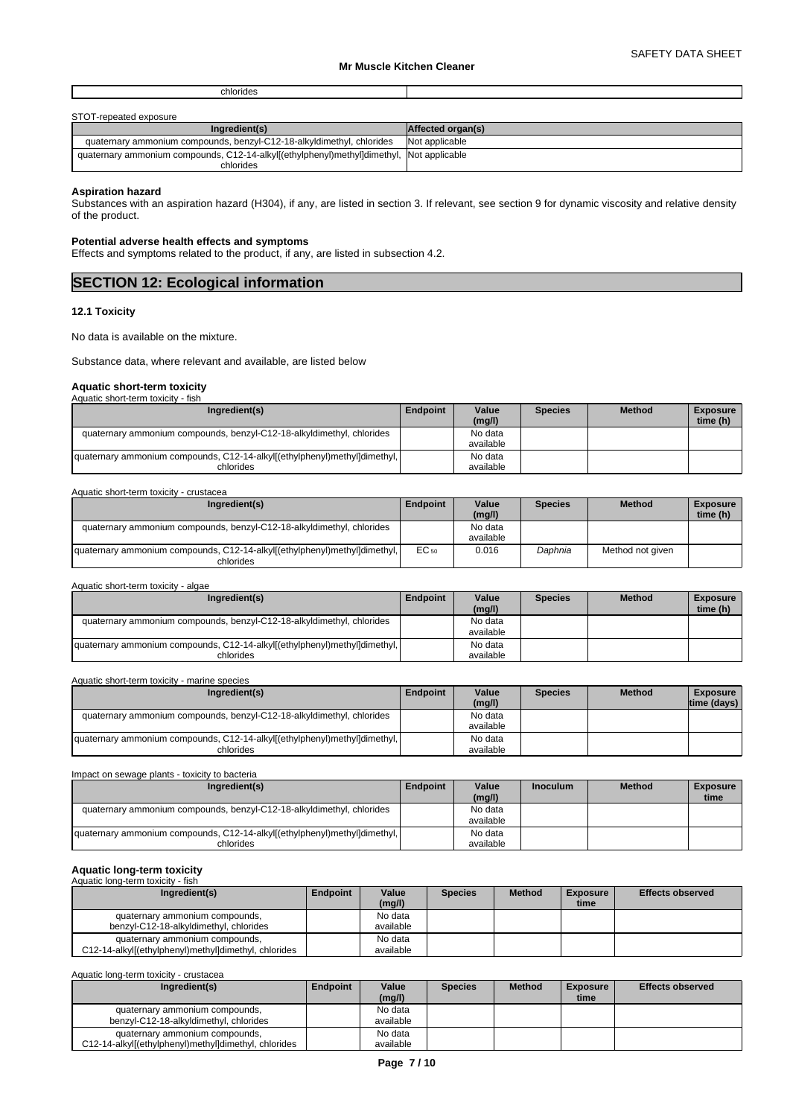| STOT-repeated exposure                                                                   |                          |
|------------------------------------------------------------------------------------------|--------------------------|
| Ingredient(s)                                                                            | <b>Affected organ(s)</b> |
| quaternary ammonium compounds, benzyl-C12-18-alkyldimethyl, chlorides                    | Not applicable           |
| quaternary ammonium compounds, C12-14-alkyl[(ethylphenyl)methyl]dimethyl, Not applicable |                          |
| chlorides                                                                                |                          |

### **Aspiration hazard**

Substances with an aspiration hazard (H304), if any, are listed in section 3. If relevant, see section 9 for dynamic viscosity and relative density of the product.

### **Potential adverse health effects and symptoms**

Effects and symptoms related to the product, if any, are listed in subsection 4.2.

# **12.1 Toxicity**

No data is available on the mixture.

Substance data, where relevant and available, are listed below

### **Aquatic short-term toxicity**

| Aquatic short-term toxicity - fish                                        |                 |           |                |               |                 |
|---------------------------------------------------------------------------|-----------------|-----------|----------------|---------------|-----------------|
| Ingredient(s)                                                             | <b>Endpoint</b> | Value     | <b>Species</b> | <b>Method</b> | <b>Exposure</b> |
|                                                                           |                 | (mg/l)    |                |               | time (h)        |
| quaternary ammonium compounds, benzyl-C12-18-alkyldimethyl, chlorides     |                 | No data   |                |               |                 |
|                                                                           |                 | available |                |               |                 |
| quaternary ammonium compounds, C12-14-alkyl[(ethylphenyl)methyl]dimethyl, |                 | No data   |                |               |                 |
| chlorides                                                                 |                 | available |                |               |                 |

| Aquatic short-term toxicity - crustacea                                                |           |                      |                |                  |                             |  |  |  |
|----------------------------------------------------------------------------------------|-----------|----------------------|----------------|------------------|-----------------------------|--|--|--|
| Ingredient(s)                                                                          | Endpoint  | Value<br>(mg/l)      | <b>Species</b> | <b>Method</b>    | <b>Exposure</b><br>time (h) |  |  |  |
| quaternary ammonium compounds, benzyl-C12-18-alkyldimethyl, chlorides                  |           | No data<br>available |                |                  |                             |  |  |  |
| quaternary ammonium compounds, C12-14-alkyl[(ethylphenyl)methyl]dimethyl,<br>chlorides | $EC_{50}$ | 0.016                | Daphnia        | Method not given |                             |  |  |  |

| Aquatic short-term toxicity - algae                                       |          |                 |                |               |                             |
|---------------------------------------------------------------------------|----------|-----------------|----------------|---------------|-----------------------------|
| Ingredient(s)                                                             | Endpoint | Value<br>(mg/l) | <b>Species</b> | <b>Method</b> | <b>Exposure</b><br>time (h) |
| quaternary ammonium compounds, benzyl-C12-18-alkyldimethyl, chlorides     |          | No data         |                |               |                             |
|                                                                           |          | available       |                |               |                             |
| quaternary ammonium compounds, C12-14-alkyl[(ethylphenyl)methyl]dimethyl, |          | No data         |                |               |                             |
| chlorides                                                                 |          | available       |                |               |                             |

| Aquatic short-term toxicity - marine species                                           |          |                      |                |               |                                |
|----------------------------------------------------------------------------------------|----------|----------------------|----------------|---------------|--------------------------------|
| Ingredient(s)                                                                          | Endpoint | Value<br>(mg/l)      | <b>Species</b> | <b>Method</b> | <b>Exposure</b><br>time (days) |
| quaternary ammonium compounds, benzyl-C12-18-alkyldimethyl, chlorides                  |          | No data<br>available |                |               |                                |
| quaternary ammonium compounds, C12-14-alkyl[(ethylphenyl)methyl]dimethyl,<br>chlorides |          | No data<br>available |                |               |                                |

#### Impact on sewage plants - toxicity to bacteria **Ingredient(s) Endpoint | Value** | Inoculum **(mg/l) Industrial Method Exposure time**  quaternary ammonium compounds, benzyl-C12-18-alkyldimethyl, chlorides No data available quaternary ammonium compounds, C12-14-alkyl[(ethylphenyl)methyl]dimethyl, chlorides No data available

### **Aquatic long-term toxicity** Aquatic long-term toxicity - fish

| Ingredient(s)                                                                          | Endpoint | Value<br>(mg/l)      | <b>Species</b> | <b>Method</b> | Exposure<br>time | <b>Effects observed</b> |
|----------------------------------------------------------------------------------------|----------|----------------------|----------------|---------------|------------------|-------------------------|
| quaternary ammonium compounds,<br>benzyl-C12-18-alkyldimethyl, chlorides               |          | No data<br>available |                |               |                  |                         |
| quaternary ammonium compounds,<br>C12-14-alkyl[(ethylphenyl)methyl]dimethyl, chlorides |          | No data<br>available |                |               |                  |                         |

Aquatic long-term toxicity - crustacea

| Ingredient(s)                                        | <b>Endpoint</b> | Value     | <b>Species</b> | <b>Method</b> | Exposure | <b>Effects observed</b> |
|------------------------------------------------------|-----------------|-----------|----------------|---------------|----------|-------------------------|
|                                                      |                 | (mg/l)    |                |               | time     |                         |
| quaternary ammonium compounds,                       |                 | No data   |                |               |          |                         |
| benzyl-C12-18-alkyldimethyl, chlorides               |                 | available |                |               |          |                         |
| quaternary ammonium compounds.                       |                 | No data   |                |               |          |                         |
| C12-14-alkyl[(ethylphenyl)methyl]dimethyl, chlorides |                 | available |                |               |          |                         |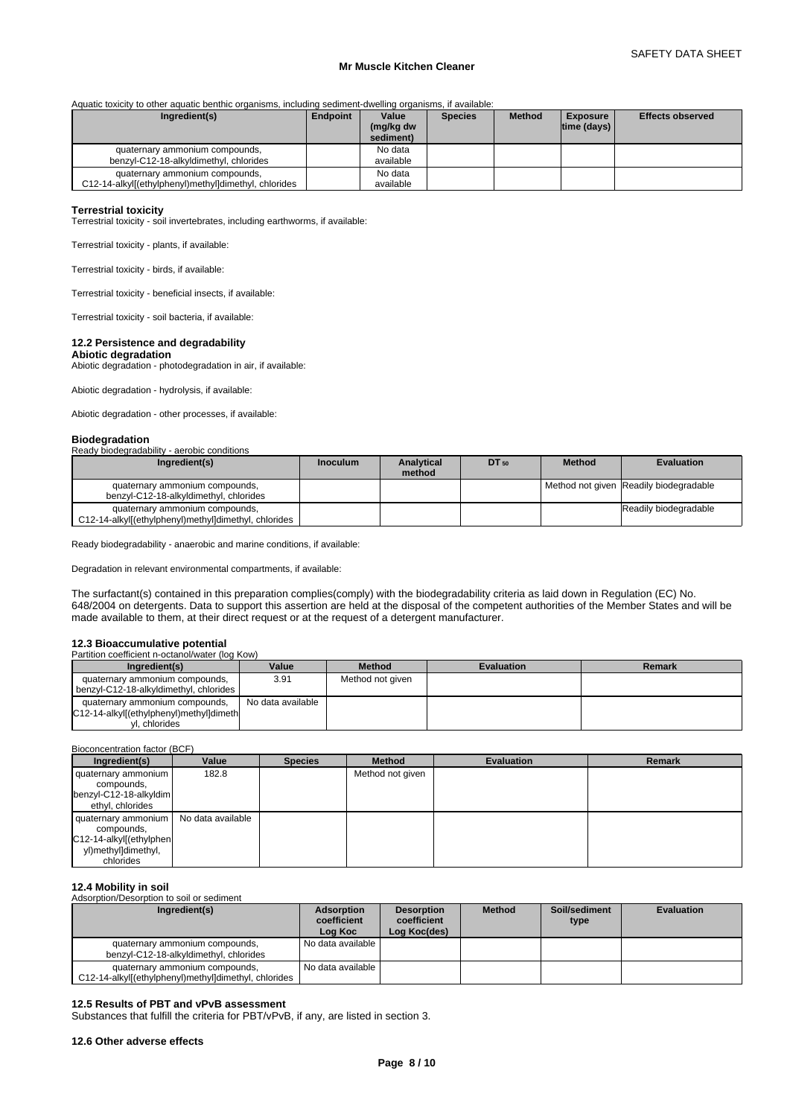Aquatic toxicity to other aquatic benthic organisms, including sediment-dwelling organisms, if available:

| Ingredient(s)                                                                          | Endpoint | Value                  | <b>Species</b> | <b>Method</b> | <b>Exposure</b>    | <b>Effects observed</b> |
|----------------------------------------------------------------------------------------|----------|------------------------|----------------|---------------|--------------------|-------------------------|
|                                                                                        |          | (mg/kg dw<br>sediment) |                |               | $ time$ (days) $ $ |                         |
| quaternary ammonium compounds,<br>benzyl-C12-18-alkyldimethyl, chlorides               |          | No data<br>available   |                |               |                    |                         |
| quaternary ammonium compounds,<br>C12-14-alkyl[(ethylphenyl)methyl]dimethyl, chlorides |          | No data<br>available   |                |               |                    |                         |

# **Terrestrial toxicity**

Terrestrial toxicity - soil invertebrates, including earthworms, if available:

Terrestrial toxicity - plants, if available:

Terrestrial toxicity - birds, if available:

Terrestrial toxicity - beneficial insects, if available:

Terrestrial toxicity - soil bacteria, if available:

# **12.2 Persistence and degradability**

**Abiotic degradation** Abiotic degradation - photodegradation in air, if available:

Abiotic degradation - hydrolysis, if available:

Abiotic degradation - other processes, if available:

### **Biodegradation**

| Ready biodegradability - aerobic conditions                                            |                 |                      |           |               |                                        |
|----------------------------------------------------------------------------------------|-----------------|----------------------|-----------|---------------|----------------------------------------|
| Ingredient(s)                                                                          | <b>Inoculum</b> | Analytical<br>method | $DT_{50}$ | <b>Method</b> | <b>Evaluation</b>                      |
| quaternary ammonium compounds,<br>benzyl-C12-18-alkyldimethyl, chlorides               |                 |                      |           |               | Method not given Readily biodegradable |
| quaternary ammonium compounds,<br>C12-14-alkyl[(ethylphenyl)methyl]dimethyl, chlorides |                 |                      |           |               | Readily biodegradable                  |

Ready biodegradability - anaerobic and marine conditions, if available:

Degradation in relevant environmental compartments, if available:

The surfactant(s) contained in this preparation complies(comply) with the biodegradability criteria as laid down in Regulation (EC) No. 648/2004 on detergents. Data to support this assertion are held at the disposal of the competent authorities of the Member States and will be made available to them, at their direct request or at the request of a detergent manufacturer.

### **12.3 Bioaccumulative potential** Partition coefficie

| Ingredient(s)                                                                              | Value             | <b>Method</b>    | <b>Evaluation</b> | Remark |
|--------------------------------------------------------------------------------------------|-------------------|------------------|-------------------|--------|
| quaternary ammonium compounds,<br>benzyl-C12-18-alkyldimethyl, chlorides                   | 3.91              | Method not given |                   |        |
| quaternary ammonium compounds,<br>C12-14-alkyl[(ethylphenyl)methyl]dimeth<br>vl. chlorides | No data available |                  |                   |        |

### Bioconcentration factor (BCF)

| Ingredient(s)                                                                                    | Value             | <b>Species</b> | <b>Method</b>    | <b>Evaluation</b> | <b>Remark</b> |
|--------------------------------------------------------------------------------------------------|-------------------|----------------|------------------|-------------------|---------------|
| quaternary ammonium<br>compounds,                                                                | 182.8             |                | Method not given |                   |               |
| benzyl-C12-18-alkyldim<br>ethyl, chlorides                                                       |                   |                |                  |                   |               |
| quaternary ammonium<br>compounds,<br>C12-14-alkyl[(ethylphen<br>yl)methyl]dimethyl,<br>chlorides | No data available |                |                  |                   |               |

### **12.4 Mobility in soil**

Adsorption/Desorption to soil or sediment

| Ingredient(s)                                                                          | Adsorption<br>coefficient<br>Log Koc | <b>Desorption</b><br>coefficient<br>Log Koc(des) | <b>Method</b> | Soil/sediment<br>type | <b>Evaluation</b> |
|----------------------------------------------------------------------------------------|--------------------------------------|--------------------------------------------------|---------------|-----------------------|-------------------|
| quaternary ammonium compounds,<br>benzyl-C12-18-alkyldimethyl, chlorides               | No data available I                  |                                                  |               |                       |                   |
| quaternary ammonium compounds,<br>C12-14-alkyl[(ethylphenyl)methyl]dimethyl, chlorides | No data available I                  |                                                  |               |                       |                   |

### **12.5 Results of PBT and vPvB assessment**

Substances that fulfill the criteria for PBT/vPvB, if any, are listed in section 3.

### **12.6 Other adverse effects**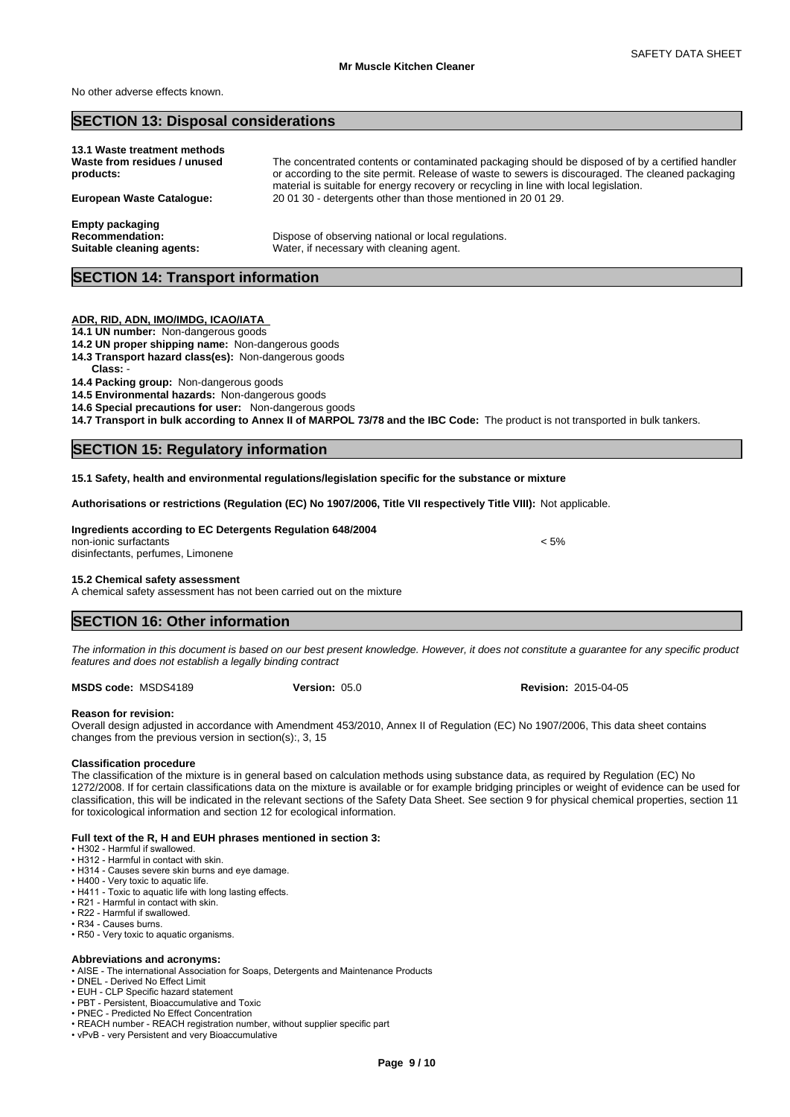No other adverse effects known.

# **SECTION 13: Disposal considerations**

| 13.1 Waste treatment methods     |                                                                                                   |
|----------------------------------|---------------------------------------------------------------------------------------------------|
| Waste from residues / unused     | The concentrated contents or contaminated packaging should be disposed of by a certified handler  |
| products:                        | or according to the site permit. Release of waste to sewers is discouraged. The cleaned packaging |
|                                  | material is suitable for energy recovery or recycling in line with local legislation.             |
| <b>European Waste Catalogue:</b> | 200130 - detergents other than those mentioned in 200129.                                         |
|                                  |                                                                                                   |
| <b>Empty packaging</b>           |                                                                                                   |
|                                  |                                                                                                   |
| <b>Recommendation:</b>           | Dispose of observing national or local regulations.                                               |
| Suitable cleaning agents:        | Water, if necessary with cleaning agent.                                                          |
|                                  |                                                                                                   |

# **SECTION 14: Transport information**

### **ADR, RID, ADN, IMO/IMDG, ICAO/IATA**

- **14.1 UN number:** Non-dangerous goods
- **14.2 UN proper shipping name:** Non-dangerous goods
- **14.3 Transport hazard class(es):** Non-dangerous goods
- **Class:** -

### **14.4 Packing group:** Non-dangerous goods

- **14.5 Environmental hazards:** Non-dangerous goods
- **14.6 Special precautions for user:** Non-dangerous goods

**14.7 Transport in bulk according to Annex II of MARPOL 73/78 and the IBC Code:** The product is not transported in bulk tankers.

# **SECTION 15: Regulatory information**

**15.1 Safety, health and environmental regulations/legislation specific for the substance or mixture**

**Authorisations or restrictions (Regulation (EC) No 1907/2006, Title VII respectively Title VIII):** Not applicable.

### **Ingredients according to EC Detergents Regulation 648/2004** non-ionic surfactants  $\leq$  5%

disinfectants, perfumes, Limonene

### **15.2 Chemical safety assessment**

A chemical safety assessment has not been carried out on the mixture

# **SECTION 16: Other information**

*The information in this document is based on our best present knowledge. However, it does not constitute a guarantee for any specific product features and does not establish a legally binding contract*

**MSDS code:** MSDS4189

### **Reason for revision:**

Overall design adjusted in accordance with Amendment 453/2010, Annex II of Regulation (EC) No 1907/2006, This data sheet contains changes from the previous version in section(s):, 3, 15

### **Classification procedure**

The classification of the mixture is in general based on calculation methods using substance data, as required by Regulation (EC) No 1272/2008. If for certain classifications data on the mixture is available or for example bridging principles or weight of evidence can be used for classification, this will be indicated in the relevant sections of the Safety Data Sheet. See section 9 for physical chemical properties, section 11 for toxicological information and section 12 for ecological information.

### **Full text of the R, H and EUH phrases mentioned in section 3:**

- •H302-Harmfulifswallowed.
- H312 Harmful in contact with skin.
- H314 Causes severe skin burns and eye damage. • H400 - Very toxic to aquatic life.
- H411 Toxic to aquatic life with long lasting effects.
- R21 Harmful in contact with skin.
- R22 Harmful if swallowed.
- R34 Causes burns.
- R50 Very toxic to aquatic organisms.

### **Abbreviations and acronyms:**

• AISE - The international Association for Soaps, Detergents and Maintenance Products

- DNEL Derived No Effect Limit
- EUH CLP Specific hazard statement
- PBT Persistent, Bioaccumulative and Toxic
- PNEC Predicted No Effect Concentration • REACH number - REACH registration number, without supplier specific part
- vPvB very Persistent and very Bioaccumulative

**Version:** 05.0 **Revision:** 2015-04-05